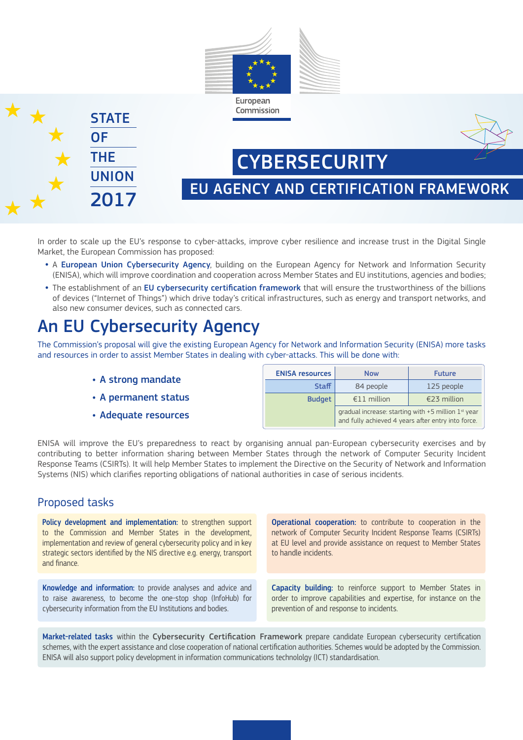



EU AGENCY AND CERTIFICATION FRAMEWORK

**CYBERSECURITY** 

In order to scale up the EU's response to cyber-attacks, improve cyber resilience and increase trust in the Digital Single Market, the European Commission has proposed:

- **•** A European Union Cybersecurity Agency, building on the European Agency for Network and Information Security (ENISA), which will improve coordination and cooperation across Member States and EU institutions, agencies and bodies;
- **•** The establishment of an EU cybersecurity certification framework that will ensure the trustworthiness of the billions of devices ("Internet of Things") which drive today's critical infrastructures, such as energy and transport networks, and also new consumer devices, such as connected cars.

## An EU Cybersecurity Agency

The Commission's proposal will give the existing European Agency for Network and Information Security (ENISA) more tasks and resources in order to assist Member States in dealing with cyber-attacks. This will be done with:

- **•** A strong mandate
- **•** A permanent status
- **•** Adequate resources

| <b>ENISA resources</b> | <b>Now</b>                                                                                                    | <b>Future</b> |
|------------------------|---------------------------------------------------------------------------------------------------------------|---------------|
| <b>Staff</b>           | 84 people                                                                                                     | 125 people    |
| <b>Budget</b>          | €11 million                                                                                                   | €23 million   |
|                        | gradual increase: starting with $+5$ million $1st$ year<br>and fully achieved 4 years after entry into force. |               |

ENISA will improve the EU's preparedness to react by organising annual pan-European cybersecurity exercises and by contributing to better information sharing between Member States through the network of Computer Security Incident Response Teams (CSIRTs). It will help Member States to implement the Directive on the Security of Network and Information Systems (NIS) which clarifies reporting obligations of national authorities in case of serious incidents.

### Proposed tasks

Policy development and implementation: to strengthen support to the Commission and Member States in the development, implementation and review of general cybersecurity policy and in key strategic sectors identified by the NIS directive e.g. energy, transport and finance.

Knowledge and information: to provide analyses and advice and to raise awareness, to become the one-stop shop (InfoHub) for cybersecurity information from the EU Institutions and bodies.

Operational cooperation: to contribute to cooperation in the network of Computer Security Incident Response Teams (CSIRTs) at EU level and provide assistance on request to Member States to handle incidents.

Capacity building: to reinforce support to Member States in order to improve capabilities and expertise, for instance on the prevention of and response to incidents.

Market-related tasks within the Cybersecurity Certification Framework prepare candidate European cybersecurity certification schemes, with the expert assistance and close cooperation of national certification authorities. Schemes would be adopted by the Commission. ENISA will also support policy development in information communications technololgy (ICT) standardisation.